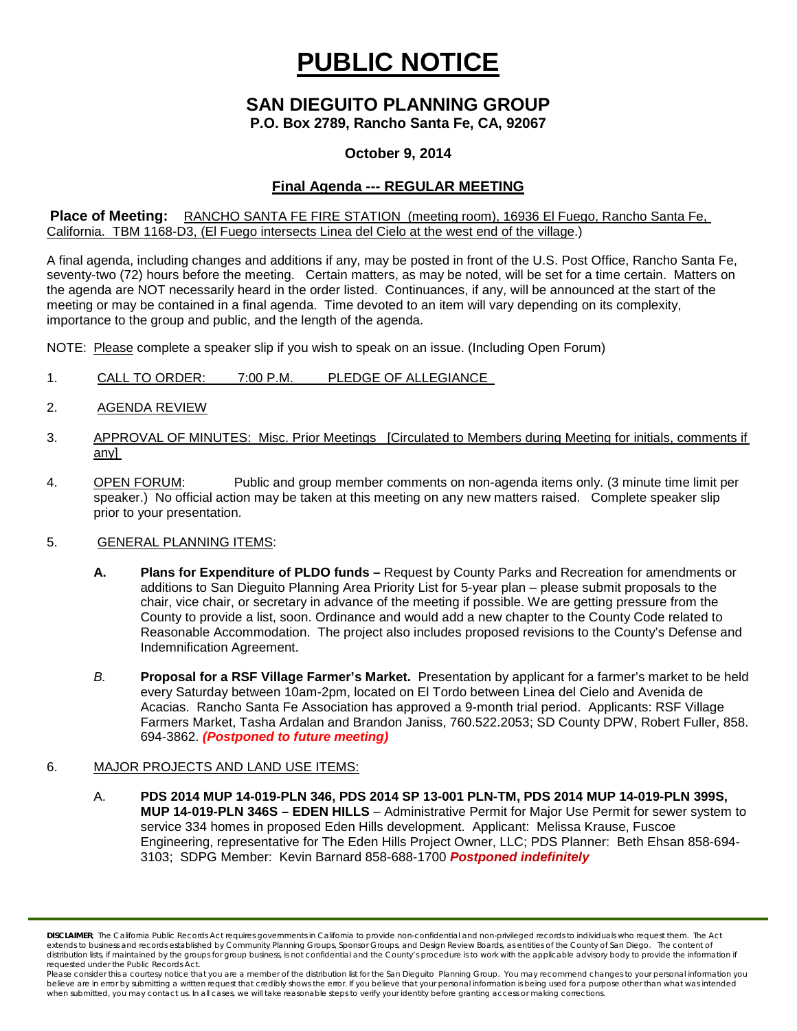# **PUBLIC NOTICE**

# **SAN DIEGUITO PLANNING GROUP**

**P.O. Box 2789, Rancho Santa Fe, CA, 92067**

## **October 9, 2014**

# **Final Agenda --- REGULAR MEETING**

**Place of Meeting:** RANCHO SANTA FE FIRE STATION (meeting room), 16936 El Fuego, Rancho Santa Fe, California. TBM 1168-D3, (El Fuego intersects Linea del Cielo at the west end of the village.)

A final agenda, including changes and additions if any, may be posted in front of the U.S. Post Office, Rancho Santa Fe, seventy-two (72) hours before the meeting. Certain matters, as may be noted, will be set for a time certain. Matters on the agenda are NOT necessarily heard in the order listed. Continuances, if any, will be announced at the start of the meeting or may be contained in a final agenda. Time devoted to an item will vary depending on its complexity, importance to the group and public, and the length of the agenda.

NOTE: Please complete a speaker slip if you wish to speak on an issue. (Including Open Forum)

- 1. CALL TO ORDER: 7:00 P.M. PLEDGE OF ALLEGIANCE
- 2. AGENDA REVIEW
- 3. APPROVAL OF MINUTES: Misc. Prior Meetings [Circulated to Members during Meeting for initials, comments if any]
- 4. OPEN FORUM: Public and group member comments on non-agenda items only. (3 minute time limit per speaker.) No official action may be taken at this meeting on any new matters raised. Complete speaker slip prior to your presentation.

#### 5. GENERAL PLANNING ITEMS:

- **A. Plans for Expenditure of PLDO funds –** Request by County Parks and Recreation for amendments or additions to San Dieguito Planning Area Priority List for 5-year plan – please submit proposals to the chair, vice chair, or secretary in advance of the meeting if possible. We are getting pressure from the County to provide a list, soon. Ordinance and would add a new chapter to the County Code related to Reasonable Accommodation. The project also includes proposed revisions to the County's Defense and Indemnification Agreement.
- *B.* **Proposal for a RSF Village Farmer's Market.** Presentation by applicant for a farmer's market to be held every Saturday between 10am-2pm, located on El Tordo between Linea del Cielo and Avenida de Acacias. Rancho Santa Fe Association has approved a 9-month trial period. Applicants: RSF Village Farmers Market, Tasha Ardalan and Brandon Janiss, 760.522.2053; SD County DPW, Robert Fuller, 858. 694-3862. *(Postponed to future meeting)*

### 6. MAJOR PROJECTS AND LAND USE ITEMS:

A. **PDS 2014 MUP 14-019-PLN 346, PDS 2014 SP 13-001 PLN-TM, PDS 2014 MUP 14-019-PLN 399S, MUP 14-019-PLN 346S – EDEN HILLS** – Administrative Permit for Major Use Permit for sewer system to service 334 homes in proposed Eden Hills development. Applicant: Melissa Krause, Fuscoe Engineering, representative for The Eden Hills Project Owner, LLC; PDS Planner: Beth Ehsan 858-694- 3103; SDPG Member: Kevin Barnard 858-688-1700 *Postponed indefinitely*

*DISCLAIMER; The California Public Records Act requires governments in California to provide non-confidential and non-privileged records to individuals who request them. The Act*  extends to business and records established by Community Planning Groups, Sponsor Groups, and Design Review Boards, as entities of the County of San Diego. The content of distribution lists, if maintained by the groups for group business, is not confidential and the County's procedure is to work with the applicable advisory body to provide the information if *requested under the Public Records Act.*

*Please consider this a courtesy notice that you are a member of the distribution list for the San Dieguito Planning Group. You may recommend changes to your personal information you* believe are in error by submitting a written request that credibly shows the error. If you believe that your personal information is being used for a purpose other than what was intended<br>when submitted, you may contact us.